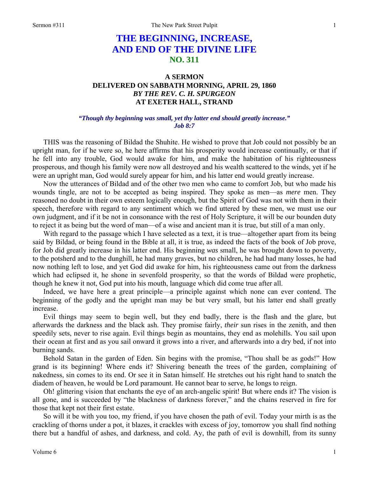# **THE BEGINNING, INCREASE, AND END OF THE DIVINE LIFE NO. 311**

# **A SERMON DELIVERED ON SABBATH MORNING, APRIL 29, 1860**  *BY THE REV. C. H. SPURGEON*  **AT EXETER HALL, STRAND**

#### *"Though thy beginning was small, yet thy latter end should greatly increase." Job 8:7*

THIS was the reasoning of Bildad the Shuhite. He wished to prove that Job could not possibly be an upright man, for if he were so, he here affirms that his prosperity would increase continually, or that if he fell into any trouble, God would awake for him, and make the habitation of his righteousness prosperous, and though his family were now all destroyed and his wealth scattered to the winds, yet if he were an upright man, God would surely appear for him, and his latter end would greatly increase.

Now the utterances of Bildad and of the other two men who came to comfort Job, but who made his wounds tingle, are not to be accepted as being inspired. They spoke as men—as *mere* men. They reasoned no doubt in their own esteem logically enough, but the Spirit of God was not with them in their speech, therefore with regard to any sentiment which we find uttered by these men, we must use our own judgment, and if it be not in consonance with the rest of Holy Scripture, it will be our bounden duty to reject it as being but the word of man—of a wise and ancient man it is true, but still of a man only.

With regard to the passage which I have selected as a text, it is true—altogether apart from its being said by Bildad, or being found in the Bible at all, it is true, as indeed the facts of the book of Job prove, for Job did greatly increase in his latter end. His beginning *was* small, he was brought down to poverty, to the potsherd and to the dunghill, he had many graves, but no children, he had had many losses, he had now nothing left to lose, and yet God did awake for him, his righteousness came out from the darkness which had eclipsed it, he shone in sevenfold prosperity, so that the words of Bildad were prophetic, though he knew it not, God put into his mouth, language which did come true after all.

Indeed, we have here a great principle—a principle against which none can ever contend. The beginning of the godly and the upright man may be but very small, but his latter end shall greatly increase.

Evil things may seem to begin well, but they end badly, there is the flash and the glare, but afterwards the darkness and the black ash. They promise fairly, *their* sun rises in the zenith, and then speedily sets, never to rise again. Evil things begin as mountains, they end as molehills. You sail upon their ocean at first and as you sail onward it grows into a river, and afterwards into a dry bed, if not into burning sands.

Behold Satan in the garden of Eden. Sin begins with the promise, "Thou shall be as gods!" How grand is its beginning! Where ends it? Shivering beneath the trees of the garden, complaining of nakedness, sin comes to its end. Or see it in Satan himself. He stretches out his right hand to snatch the diadem of heaven, he would be Lord paramount. He cannot bear to serve, he longs to reign.

Oh! glittering vision that enchants the eye of an arch-angelic spirit! But where ends it? The vision is all gone, and is succeeded by "the blackness of darkness forever," and the chains reserved in fire for those that kept not their first estate.

So will it be with you too, my friend, if you have chosen the path of evil. Today your mirth is as the crackling of thorns under a pot, it blazes, it crackles with excess of joy, tomorrow you shall find nothing there but a handful of ashes, and darkness, and cold. Ay, the path of evil is downhill, from its sunny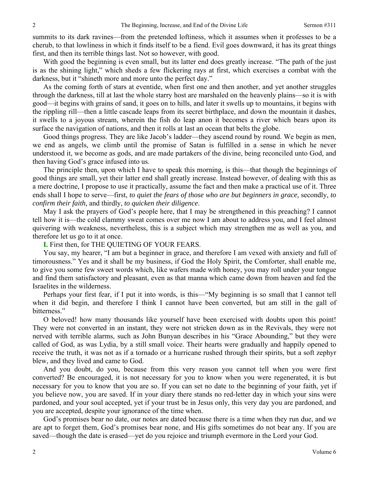summits to its dark ravines—from the pretended loftiness, which it assumes when it professes to be a cherub, to that lowliness in which it finds itself to be a fiend. Evil goes downward, it has its great things first, and then its terrible things last. Not so however, with good.

With good the beginning is even small, but its latter end does greatly increase. "The path of the just is as the shining light," which sheds a few flickering rays at first, which exercises a combat with the darkness, but it "shineth more and more unto the perfect day."

As the coming forth of stars at eventide, when first one and then another, and yet another struggles through the darkness, till at last the whole starry host are marshaled on the heavenly plains—so it is with good—it begins with grains of sand, it goes on to hills, and later it swells up to mountains, it begins with the rippling rill—then a little cascade leaps from its secret birthplace, and down the mountain it dashes, it swells to a joyous stream, wherein the fish do leap anon it becomes a river which bears upon its surface the navigation of nations, and then it rolls at last an ocean that belts the globe.

Good things progress. They are like Jacob's ladder—they ascend round by round. We begin as men, we end as angels, we climb until the promise of Satan is fulfilled in a sense in which he never understood it, we become as gods, and are made partakers of the divine, being reconciled unto God, and then having God's grace infused into us.

The principle then, upon which I have to speak this morning, is this—that though the beginnings of good things are small, yet their latter end shall greatly increase. Instead however, of dealing with this as a mere doctrine, I propose to use it practically, assume the fact and then make a practical use of it. Three ends shall I hope to serve—first, *to quiet the fears of those who are but beginners in grace,* secondly, *to confirm their faith,* and thirdly, *to quicken their diligence*.

May I ask the prayers of God's people here, that I may be strengthened in this preaching? I cannot tell how it is—the cold clammy sweat comes over me now I am about to address you, and I feel almost quivering with weakness, nevertheless, this is a subject which may strengthen me as well as you, and therefore let us go to it at once.

**I.** First then, for THE QUIETING OF YOUR FEARS.

You say, my hearer, "I am but a beginner in grace, and therefore I am vexed with anxiety and full of timorousness." Yes and it shall be my business, if God the Holy Spirit, the Comforter, shall enable me, to give you some few sweet words which, like wafers made with honey, you may roll under your tongue and find them satisfactory and pleasant, even as that manna which came down from heaven and fed the Israelites in the wilderness.

Perhaps your first fear, if I put it into words, is this—"My beginning is so small that I cannot tell when it did begin, and therefore I think I cannot have been converted, but am still in the gall of bitterness."

O beloved! how many thousands like yourself have been exercised with doubts upon this point! They were not converted in an instant, they were not stricken down as in the Revivals, they were not nerved with terrible alarms, such as John Bunyan describes in his "Grace Abounding," but they were called of God, as was Lydia, by a still small voice. Their hearts were gradually and happily opened to receive the truth, it was not as if a tornado or a hurricane rushed through their spirits, but a soft zephyr blew, and they lived and came to God.

And you doubt, do you, because from this very reason you cannot tell when you were first converted? Be encouraged, it is not necessary for you to know when you were regenerated, it is but necessary for you to know that you are so. If you can set no date to the beginning of your faith, yet if you believe now, you are saved. If in your diary there stands no red-letter day in which your sins were pardoned, and your soul accepted, yet if your trust be in Jesus only, this very day you are pardoned, and you are accepted, despite your ignorance of the time when.

God's promises bear no date, our notes are dated because there is a time when they run due, and we are apt to forget them, God's promises bear none, and His gifts sometimes do not bear any. If you are saved—though the date is erased—yet do you rejoice and triumph evermore in the Lord your God.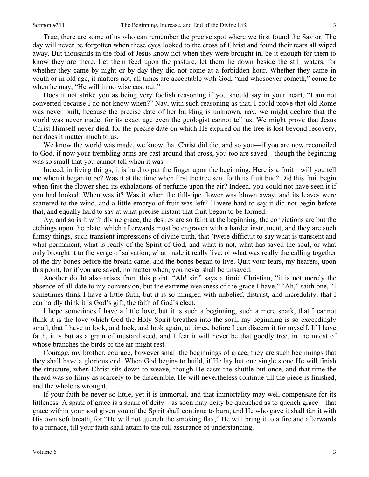True, there are some of us who can remember the precise spot where we first found the Savior. The day will never be forgotten when these eyes looked to the cross of Christ and found their tears all wiped away. But thousands in the fold of Jesus know not when they were brought in, be it enough for them to know they are there. Let them feed upon the pasture, let them lie down beside the still waters, for whether they came by night or by day they did not come at a forbidden hour. Whether they came in youth or in old age, it matters not, all times are acceptable with God, "and whosoever cometh," come he when he may, "He will in no wise cast out."

Does it not strike you as being very foolish reasoning if you should say in your heart, "I am not converted because I do not know when?" Nay, with such reasoning as that, I could prove that old Rome was never built, because the precise date of her building is unknown, nay, we might declare that the world was never made, for its exact age even the geologist cannot tell us. We might prove that Jesus Christ Himself never died, for the precise date on which He expired on the tree is lost beyond recovery, nor does it matter much to us.

We know the world was made, we know that Christ did die, and so you—if you are now reconciled to God, if now your trembling arms are cast around that cross, you too are saved—though the beginning was so small that you cannot tell when it was.

Indeed, in living things, it is hard to put the finger upon the beginning. Here is a fruit—will you tell me when it began to be? Was it at the time when first the tree sent forth its fruit bud? Did this fruit begin when first the flower shed its exhalations of perfume upon the air? Indeed, you could not have seen it if you had looked. When was it? Was it when the full-ripe flower was blown away, and its leaves were scattered to the wind, and a little embryo of fruit was left? 'Twere hard to say it did not begin before that, and equally hard to say at what precise instant that fruit began to be formed.

Ay, and so is it with divine grace, the desires are so faint at the beginning, the convictions are but the etchings upon the plate, which afterwards must be engraven with a harder instrument, and they are such flimsy things, such transient impressions of divine truth, that 'twere difficult to say what is transient and what permanent, what is really of the Spirit of God, and what is not, what has saved the soul, or what only brought it to the verge of salvation, what made it really live, or what was really the calling together of the dry bones before the breath came, and the bones began to live. Quit your fears, my hearers, upon this point, for if you are saved, no matter when, you never shall be unsaved.

Another doubt also arises from this point. "Ah! sir," says a timid Christian, "it is not merely the absence of all date to my conversion, but the extreme weakness of the grace I have." "Ah," saith one, "I sometimes think I have a little faith, but it is so mingled with unbelief, distrust, and incredulity, that I can hardly think it is God's gift, the faith of God's elect.

I hope sometimes I have a little love, but it is such a beginning, such a mere spark, that I cannot think it is the love which God the Holy Spirit breathes into the soul, my beginning is so exceedingly small, that I have to look, and look, and look again, at times, before I can discern it for myself. If I have faith, it is but as a grain of mustard seed, and I fear it will never be that goodly tree, in the midst of whose branches the birds of the air might rest."

Courage, my brother, courage, however small the beginnings of grace, they are such beginnings that they shall have a glorious end. When God begins to build, if He lay but one single stone He will finish the structure, when Christ sits down to weave, though He casts the shuttle but once, and that time the thread was so filmy as scarcely to be discernible, He will nevertheless continue till the piece is finished, and the whole is wrought.

If your faith be never so little, yet it is immortal, and that immortality may well compensate for its littleness. A spark of grace is a spark of deity—as soon may deity be quenched as to quench grace—that grace within your soul given you of the Spirit shall continue to burn, and He who gave it shall fan it with His own soft breath, for "He will not quench the smoking flax," He will bring it to a fire and afterwards to a furnace, till your faith shall attain to the full assurance of understanding.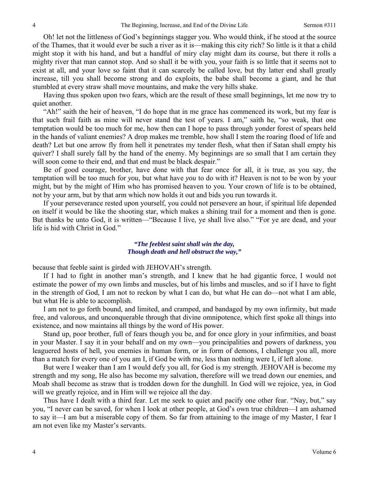Oh! let not the littleness of God's beginnings stagger you. Who would think, if he stood at the source of the Thames, that it would ever be such a river as it is—making this city rich? So little is it that a child might stop it with his hand, and but a handful of miry clay might dam its course, but there it rolls a mighty river that man cannot stop. And so shall it be with you, your faith is so little that it seems not to exist at all, and your love so faint that it can scarcely be called love, but thy latter end shall greatly increase, till you shall become strong and do exploits, the babe shall become a giant, and he that stumbled at every straw shall move mountains, and make the very hills shake.

Having thus spoken upon two fears, which are the result of these small beginnings, let me now try to quiet another.

"Ah!" saith the heir of heaven, "I do hope that in me grace has commenced its work, but my fear is that such frail faith as mine will never stand the test of years. I am," saith he, "so weak, that one temptation would be too much for me, how then can I hope to pass through yonder forest of spears held in the hands of valiant enemies? A drop makes me tremble, how shall I stem the roaring flood of life and death? Let but one arrow fly from hell it penetrates my tender flesh, what then if Satan shall empty his quiver? I shall surely fall by the hand of the enemy. My beginnings are so small that I am certain they will soon come to their end, and that end must be black despair."

Be of good courage, brother, have done with that fear once for all, it is true, as you say, the temptation will be too much for *you*, but what have *you* to do with it? Heaven is not to be won by your might, but by the might of Him who has promised heaven to you. Your crown of life is to be obtained, not by your arm, but by that arm which now holds it out and bids you run towards it.

If your perseverance rested upon yourself, you could not persevere an hour, if spiritual life depended on itself it would be like the shooting star, which makes a shining trail for a moment and then is gone. But thanks be unto God, it is written—"Because I live, ye shall live also." "For ye are dead, and your life is hid with Christ in God."

#### *"The feeblest saint shall win the day, Though death and hell obstruct the way,"*

because that feeble saint is girded with JEHOVAH's strength.

 If I had to fight in another man's strength, and I knew that he had gigantic force, I would not estimate the power of my own limbs and muscles, but of his limbs and muscles, and so if I have to fight in the strength of God, I am not to reckon by what I can do, but what He can do—not what I am able, but what He is able to accomplish.

 I am not to go forth bound, and limited, and cramped, and bandaged by my own infirmity, but made free, and valorous, and unconquerable through that divine omnipotence, which first spoke all things into existence, and now maintains all things by the word of His power.

Stand up, poor brother, full of fears though you be, and for once glory in your infirmities, and boast in your Master. I say it in your behalf and on my own—you principalities and powers of darkness, you leaguered hosts of hell, you enemies in human form, or in form of demons, I challenge you all, more than a match for every one of you am I, if God be with me, less than nothing were I, if left alone.

But were I weaker than I am I would defy you all, for God is my strength. JEHOVAH is become my strength and my song, He also has become my salvation, therefore will we tread down our enemies, and Moab shall become as straw that is trodden down for the dunghill. In God will we rejoice, yea, in God will we greatly rejoice, and in Him will we rejoice all the day.

Thus have I dealt with a third fear. Let me seek to quiet and pacify one other fear. "Nay, but," say you, "I never can be saved, for when I look at other people, at God's own true children—I am ashamed to say it—I am but a miserable copy of them. So far from attaining to the image of my Master, I fear I am not even like my Master's servants.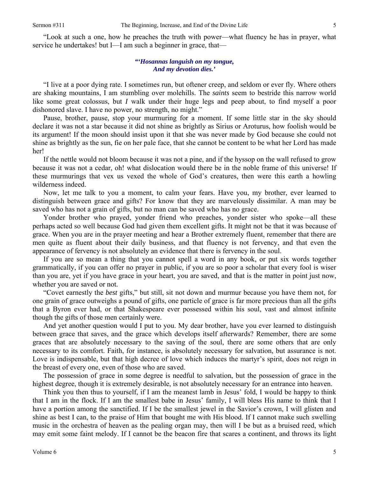"Look at such a one, how he preaches the truth with power—what fluency he has in prayer, what service he undertakes! but I—I am such a beginner in grace, that—

### *"'Hosannas languish on my tongue, And my devotion dies.'*

"I live at a poor dying rate. I sometimes run, but oftener creep, and seldom or ever fly. Where others are shaking mountains, I am stumbling over molehills. The *saints* seem to bestride this narrow world like some great colossus, but *I* walk under their huge legs and peep about, to find myself a poor dishonored slave. I have no power, no strength, no might."

Pause, brother, pause, stop your murmuring for a moment. If some little star in the sky should declare it was not a star because it did not shine as brightly as Sirius or Aroturus, how foolish would be its argument! If the moon should insist upon it that she was never made by God because she could not shine as brightly as the sun, fie on her pale face, that she cannot be content to be what her Lord has made her!

If the nettle would not bloom because it was not a pine, and if the hyssop on the wall refused to grow because it was not a cedar, oh! what dislocation would there be in the noble frame of this universe! If these murmurings that vex us vexed the whole of God's creatures, then were this earth a howling wilderness indeed.

Now, let me talk to you a moment, to calm your fears. Have you, my brother, ever learned to distinguish between grace and gifts? For know that they are marvelously dissimilar. A man may be saved who has not a grain of gifts, but no man can be saved who has no grace.

Yonder brother who prayed, yonder friend who preaches, yonder sister who spoke—all these perhaps acted so well because God had given them excellent gifts. It might not be that it was because of grace. When you are in the prayer meeting and hear a Brother extremely fluent, remember that there are men quite as fluent about their daily business, and that fluency is not fervency, and that even the appearance of fervency is not absolutely an evidence that there is fervency in the soul.

If you are so mean a thing that you cannot spell a word in any book, or put six words together grammatically, if you can offer no prayer in public, if you are so poor a scholar that every fool is wiser than you are, yet if you have grace in your heart, you are saved, and that is the matter in point just now, whether you are saved or not.

"Covet earnestly the *best* gifts," but still, sit not down and murmur because you have them not, for one grain of grace outweighs a pound of gifts, one particle of grace is far more precious than all the gifts that a Byron ever had, or that Shakespeare ever possessed within his soul, vast and almost infinite though the gifts of those men certainly were.

And yet another question would I put to you. My dear brother, have you ever learned to distinguish between grace that saves, and the grace which develops itself afterwards? Remember, there are some graces that are absolutely necessary to the saving of the soul, there are some others that are only necessary to its comfort. Faith, for instance, is absolutely necessary for salvation, but assurance is not. Love is indispensable, but that high decree of love which induces the martyr's spirit, does not reign in the breast of every one, even of those who are saved.

The possession of grace in some degree is needful to salvation, but the possession of grace in the highest degree, though it is extremely desirable, is not absolutely necessary for an entrance into heaven.

Think you then thus to yourself, if I am the meanest lamb in Jesus' fold, I would be happy to think that I am in the flock. If I am the smallest babe in Jesus' family, I will bless His name to think that I have a portion among the sanctified. If I be the smallest jewel in the Savior's crown, I will glisten and shine as best I can, to the praise of Him that bought me with His blood. If I cannot make such swelling music in the orchestra of heaven as the pealing organ may, then will I be but as a bruised reed, which may emit some faint melody. If I cannot be the beacon fire that scares a continent, and throws its light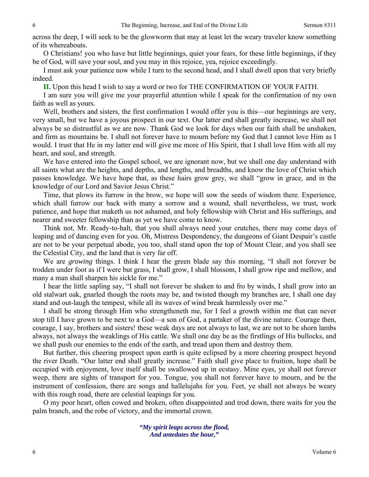across the deep, I will seek to be the glowworm that may at least let the weary traveler know something of its whereabouts.

O Christians! you who have but little beginnings, quiet your fears, for these little beginnings, if they be of God, will save your soul, and you may in this rejoice, yea, rejoice exceedingly.

I must ask your patience now while I turn to the second head, and I shall dwell upon that very briefly indeed.

**II.** Upon this head I wish to say a word or two for THE CONFIRMATION OF YOUR FAITH.

I am sure you will give me your prayerful attention while I speak for the confirmation of my own faith as well as yours.

Well, brothers and sisters, the first confirmation I would offer you is this—our beginnings are very, very small, but we have a joyous prospect in our text. Our latter end shall greatly increase, we shall not always be so distrustful as we are now. Thank God we look for days when our faith shall be unshaken, and firm as mountains be. I shall not forever have to mourn before my God that I cannot love Him as I would. I trust that He in my latter end will give me more of His Spirit, that I shall love Him with all my heart, and soul, and strength.

We have entered into the Gospel school, we are ignorant now, but we shall one day understand with all saints what are the heights, and depths, and lengths, and breadths, and know the love of Christ which passes knowledge. We have hope that, as these hairs grow grey, we shall "grow in grace, and in the knowledge of our Lord and Savior Jesus Christ."

Time, that plows its furrow in the brow, we hope will sow the seeds of wisdom there. Experience, which shall furrow our back with many a sorrow and a wound, shall nevertheless, we trust, work patience, and hope that maketh us not ashamed, and holy fellowship with Christ and His sufferings, and nearer and sweeter fellowship than as yet we have come to know.

Think not, Mr. Ready-to-halt, that you shall always need your crutches, there may come days of leaping and of dancing even for you. Oh, Mistress Despondency, the dungeons of Giant Despair's castle are not to be your perpetual abode, you too, shall stand upon the top of Mount Clear, and you shall see the Celestial City, and the land that is very far off.

We are *growing* things. I think I hear the green blade say this morning, "I shall not forever be trodden under foot as if I were but grass, I shall grow, I shall blossom, I shall grow ripe and mellow, and many a man shall sharpen his sickle for me."

I hear the little sapling say, "I shall not forever be shaken to and fro by winds, I shall grow into an old stalwart oak, gnarled though the roots may be, and twisted though my branches are, I shall one day stand and out-laugh the tempest, while all its waves of wind break harmlessly over me."

I shall be strong through Him who strengtheneth me, for I feel a growth within me that can never stop till I have grown to be next to a God—a son of God, a partaker of the divine nature. Courage then, courage, I say, brothers and sisters! these weak days are not always to last, we are not to be shorn lambs always, not always the weaklings of His cattle. We shall one day be as the firstlings of His bullocks, and we shall push our enemies to the ends of the earth, and tread upon them and destroy them.

But further, this cheering prospect upon earth is quite eclipsed by a more cheering prospect beyond the river Death. "Our latter end shall greatly increase." Faith shall give place to fruition, hope shall be occupied with enjoyment, love itself shall be swallowed up in ecstasy. Mine eyes, ye shall not forever weep, there are sights of transport for you. Tongue, you shall not forever have to mourn, and be the instrument of confession, there are songs and hallelujahs for you. Feet, ye shall not always be weary with this rough road, there are celestial leapings for you.

O my poor heart, often cowed and broken, often disappointed and trod down, there waits for you the palm branch, and the robe of victory, and the immortal crown.

> *"My spirit leaps across the flood, And antedates the hour,"*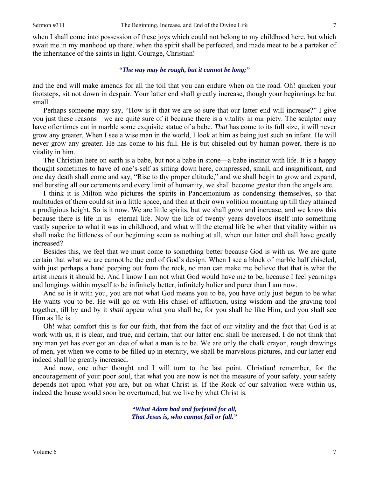when I shall come into possession of these joys which could not belong to my childhood here, but which await me in my manhood up there, when the spirit shall be perfected, and made meet to be a partaker of the inheritance of the saints in light. Courage, Christian!

## *"The way may be rough, but it cannot be long;"*

and the end will make amends for all the toil that you can endure when on the road. Oh! quicken your footsteps, sit not down in despair. Your latter end shall greatly increase, though your beginnings be but small.

Perhaps someone may say, "How is it that we are so sure that our latter end will increase?" I give you just these reasons—we are quite sure of it because there is a vitality in our piety. The sculptor may have oftentimes cut in marble some exquisite statue of a babe. *That* has come to its full size, it will never grow any greater. When I see a wise man in the world, I look at him as being just such an infant. He will never grow any greater. He has come to his full. He is but chiseled out by human power, there is no vitality in him.

The Christian here on earth is a babe, but not a babe in stone—a babe instinct with life. It is a happy thought sometimes to have of one's-self as sitting down here, compressed, small, and insignificant, and one day death shall come and say, "Rise to thy proper altitude," and we shall begin to grow and expand, and bursting all our cerements and every limit of humanity, we shall become greater than the angels are.

I think it is Milton who pictures the spirits in Pandemonium as condensing themselves, so that multitudes of them could sit in a little space, and then at their own volition mounting up till they attained a prodigious height. So is it now. We are little spirits, but we shall grow and increase, and we know this because there is life in us—eternal life. Now the life of twenty years develops itself into something vastly superior to what it was in childhood, and what will the eternal life be when that vitality within us shall make the littleness of our beginning seem as nothing at all, when our latter end shall have greatly increased?

Besides this, we feel that we must come to something better because God is with us. We are quite certain that what we are cannot be the end of God's design. When I see a block of marble half chiseled, with just perhaps a hand peeping out from the rock, no man can make me believe that that is what the artist means it should be. And I know I am not what God would have me to be, because I feel yearnings and longings within myself to be infinitely better, infinitely holier and purer than I am now.

And so is it with you, you are not what God means you to be, you have only just begun to be what He wants you to be. He will go on with His chisel of affliction, using wisdom and the graving tool together, till by and by it *shall* appear what you shall be, for you shall be like Him, and you shall see Him as He is.

Oh! what comfort this is for our faith, that from the fact of our vitality and the fact that God is at work with us, it is clear, and true, and certain, that our latter end shall be increased. I do not think that any man yet has ever got an idea of what a man is to be. We are only the chalk crayon, rough drawings of men, yet when we come to be filled up in eternity, we shall be marvelous pictures, and our latter end indeed shall be greatly increased.

And now, one other thought and I will turn to the last point. Christian! remember, for the encouragement of your poor soul, that what you are now is not the measure of your safety, your safety depends not upon what *you* are, but on what Christ is. If the Rock of our salvation were within us, indeed the house would soon be overturned, but we live by what Christ is.

> *"What Adam had and forfeited for all, That Jesus is, who cannot fail or fall."*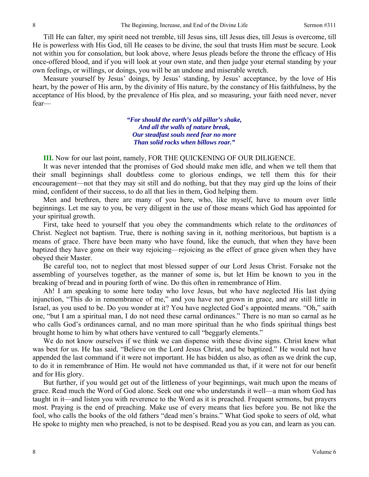Till He can falter, my spirit need not tremble, till Jesus sins, till Jesus dies, till Jesus is overcome, till He is powerless with His God, till He ceases to be divine, the soul that trusts Him *must* be secure. Look not within you for consolation, but look above, where Jesus pleads before the throne the efficacy of His once-offered blood, and if you will look at your own state, and then judge your eternal standing by your own feelings, or willings, or doings, you will be an undone and miserable wretch.

Measure yourself by Jesus' doings, by Jesus' standing, by Jesus' acceptance, by the love of His heart, by the power of His arm, by the divinity of His nature, by the constancy of His faithfulness, by the acceptance of His blood, by the prevalence of His plea, and so measuring, your faith need never, never fear—

> *"For should the earth's old pillar's shake, And all the walls of nature break, Our steadfast souls need fear no more Than solid rocks when billows roar."*

**III.** Now for our last point, namely, FOR THE QUICKENING OF OUR DILIGENCE.

It was never intended that the promises of God should make men idle, and when we tell them that their small beginnings shall doubtless come to glorious endings, we tell them this for their encouragement—not that they may sit still and do nothing, but that they may gird up the loins of their mind, confident of their success, to do all that lies in them, God helping them.

Men and brethren, there are many of you here, who, like myself, have to mourn over little beginnings. Let me say to you, be very diligent in the use of those means which God has appointed for your spiritual growth.

First, take heed to yourself that you obey the commandments which relate to the *ordinances* of Christ. Neglect not baptism. True, there is nothing saving in it, nothing meritorious, but baptism is a means of grace. There have been many who have found, like the eunuch, that when they have been baptized they have gone on their way rejoicing—rejoicing as the effect of grace given when they have obeyed their Master.

Be careful too, not to neglect that most blessed supper of our Lord Jesus Christ. Forsake not the assembling of yourselves together, as the manner of some is, but let Him be known to you in the breaking of bread and in pouring forth of wine. Do this often in remembrance of Him.

Ah! I am speaking to some here today who love Jesus, but who have neglected His last dying injunction, "This do in remembrance of me," and you have not grown in grace, and are still little in Israel, as you used to be. Do you wonder at it? You have neglected God's appointed means. "Oh," saith one, "but I am a spiritual man, I do not need these carnal ordinances." There is no man so carnal as he who calls God's ordinances carnal, and no man more spiritual than he who finds spiritual things best brought home to him by what others have ventured to call "beggarly elements."

We do not know ourselves if we think we can dispense with these divine signs. Christ knew what was best for us. He has said, "Believe on the Lord Jesus Christ, and be baptized." He would not have appended the last command if it were not important. He has bidden us also, as often as we drink the cup, to do it in remembrance of Him. He would not have commanded us that, if it were not for our benefit and for His glory.

But further, if you would get out of the littleness of your beginnings, wait much upon the means of grace. Read much the Word of God alone. Seek out one who understands it well—a man whom God has taught in it—and listen you with reverence to the Word as it is preached. Frequent sermons, but prayers most. Praying is the end of preaching. Make use of every means that lies before you. Be not like the fool, who calls the books of the old fathers "dead men's brains." What God spoke to seers of old, what He spoke to mighty men who preached, is not to be despised. Read you as you can, and learn as you can.